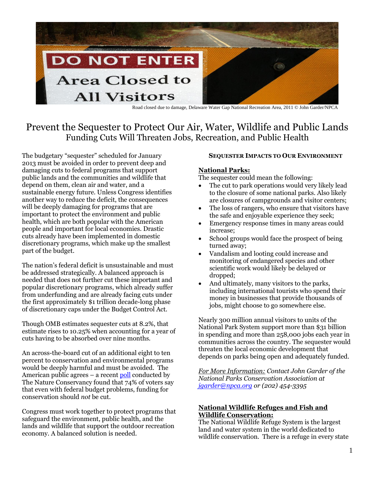

Road closed due to damage, Delaware Water Gap National Recreation Area, 2011 © John Garder/NPCA

# Prevent the Sequester to Protect Our Air, Water, Wildlife and Public Lands Funding Cuts Will Threaten Jobs, Recreation, and Public Health

The budgetary "sequester" scheduled for January 2013 must be avoided in order to prevent deep and damaging cuts to federal programs that support public lands and the communities and wildlife that depend on them, clean air and water, and a sustainable energy future. Unless Congress identifies another way to reduce the deficit, the consequences will be deeply damaging for programs that are important to protect the environment and public health, which are both popular with the American people and important for local economies. Drastic cuts already have been implemented in domestic discretionary programs, which make up the smallest part of the budget.

The nation's federal deficit is unsustainable and must be addressed strategically. A balanced approach is needed that does not further cut these important and popular discretionary programs, which already suffer from underfunding and are already facing cuts under the first approximately \$1 trillion decade-long phase of discretionary caps under the Budget Control Act.

Though OMB estimates sequester cuts at 8.2%, that estimate rises to 10.25% when accounting for a year of cuts having to be absorbed over nine months.

An across-the-board cut of an additional eight to ten percent to conservation and environmental programs would be deeply harmful and must be avoided. The American public agrees – a recen[t poll](http://www.nature.org/newsfeatures/pressreleases/conservation-is-patriotic-and-has-bipartisan-support-according-to-new-poll.xml) conducted by The Nature Conservancy found that 74% of voters say that even with federal budget problems, funding for conservation should *not* be cut.

Congress must work together to protect programs that safeguard the environment, public health, and the lands and wildlife that support the outdoor recreation economy. A balanced solution is needed.

#### **SEQUESTER IMPACTS TO OUR ENVIRONMENT**

#### **National Parks:**

The sequester could mean the following:

- The cut to park operations would very likely lead to the closure of some national parks. Also likely are closures of campgrounds and visitor centers;
- The loss of rangers, who ensure that visitors have the safe and enjoyable experience they seek;
- Emergency response times in many areas could increase;
- School groups would face the prospect of being turned away;
- Vandalism and looting could increase and monitoring of endangered species and other scientific work would likely be delayed or dropped;
- And ultimately, many visitors to the parks, including international tourists who spend their money in businesses that provide thousands of jobs, might choose to go somewhere else.

Nearly 300 million annual visitors to units of the National Park System support more than \$31 billion in spending and more than 258,000 jobs each year in communities across the country. The sequester would threaten the local economic development that depends on parks being open and adequately funded.

*For More Information: Contact John Garder of the National Parks Conservation Association at [jgarder@npca.org](mailto:jgarder@npca.org) or (202) 454-3395*

#### **National Wildlife Refuges and Fish and Wildlife Conservation:**

The National Wildlife Refuge System is the largest land and water system in the world dedicated to wildlife conservation. There is a refuge in every state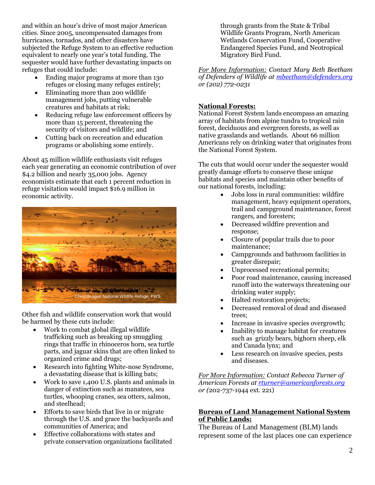and within an hour's drive of most major American cities. Since 2005, uncompensated damages from hurricanes, tornados, and other disasters have subjected the Refuge System to an effective reduction equivalent to nearly one year's total funding. The sequester would have further devastating impacts on refuges that could include:

- Ending major programs at more than 130 refuges or closing many refuges entirely;
- Eliminating more than 200 wildlife management jobs, putting vulnerable creatures and habitats at risk;
- Reducing refuge law enforcement officers by more than 15 percent, threatening the security of visitors and wildlife; and
- Cutting back on recreation and education programs or abolishing some entirely.

About 45 million wildlife enthusiasts visit refuges each year generating an economic contribution of over \$4.2 billion and nearly 35,000 jobs. Agency economists estimate that each 1 percent reduction in refuge visitation would impact \$16.9 million in economic activity.



Other fish and wildlife conservation work that would be harmed by these cuts include:

- Work to combat global illegal wildlife trafficking such as breaking up smuggling rings that traffic in rhinoceros horn, sea turtle parts, and jaguar skins that are often linked to organized crime and drugs;
- Research into fighting White-nose Syndrome, a devastating disease that is killing bats;
- Work to save 1,400 U.S. plants and animals in danger of extinction such as manatees, sea turtles, whooping cranes, sea otters, salmon, and steelhead;
- Efforts to save birds that live in or migrate through the U.S. and grace the backyards and communities of America; and
- Effective collaborations with states and private conservation organizations facilitated

through grants from the State & Tribal Wildlife Grants Program, North American Wetlands Conservation Fund, Cooperative Endangered Species Fund, and Neotropical Migratory Bird Fund.

*For More Information: Contact Mary Beth Beetham of Defenders of Wildlife at [mbeetham@defenders.org](mailto:mbeetham@defenders.org) or (202) 772-0231*

# **National Forests:**

National Forest System lands encompass an amazing array of habitats from alpine tundra to tropical rain forest, deciduous and evergreen forests, as well as native grasslands and wetlands. About 66 million Americans rely on drinking water that originates from the National Forest System.

The cuts that would occur under the sequester would greatly damage efforts to conserve these unique habitats and species and maintain other benefits of our national forests, including:

- Jobs loss in rural communities: wildfire management, heavy equipment operators, trail and campground maintenance, forest rangers, and foresters;
- Decreased wildfire prevention and response;
- Closure of popular trails due to poor maintenance;
- Campgrounds and bathroom facilities in greater disrepair;
- Unprocessed recreational permits;
- Poor road maintenance, causing increased runoff into the waterways threatening our drinking water supply;
- Halted restoration projects;
- Decreased removal of dead and diseased trees;
- Increase in invasive species overgrowth;
- Inability to manage habitat for creatures such as grizzly bears, bighorn sheep, elk and Canada lynx; and
- Less research on invasive species, pests and diseases.

*For More Information: Contact Rebecca Turner of American Forests at [rturner@americanforests.org](mailto:rturner@americanforests.org) or (*202-737-1944 ext. 221)

## **Bureau of Land Management National System of Public Lands:**

The Bureau of Land Management (BLM) lands represent some of the last places one can experience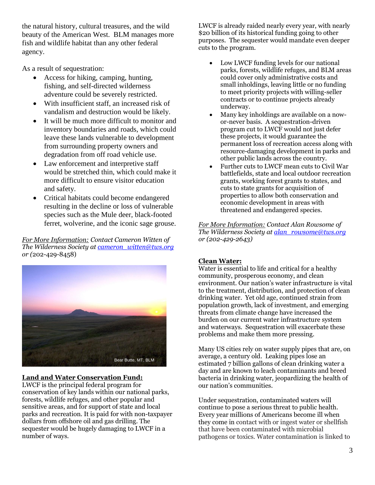the natural history, cultural treasures, and the wild beauty of the American West. BLM manages more fish and wildlife habitat than any other federal agency.

As a result of sequestration:

- Access for hiking, camping, hunting, fishing, and self-directed wilderness adventure could be severely restricted.
- With insufficient staff, an increased risk of vandalism and destruction would be likely.
- It will be much more difficult to monitor and inventory boundaries and roads, which could leave these lands vulnerable to development from surrounding property owners and degradation from off road vehicle use.
- Law enforcement and interpretive staff would be stretched thin, which could make it more difficult to ensure visitor education and safety.
- Critical habitats could become endangered resulting in the decline or loss of vulnerable species such as the Mule deer, black-footed ferret, wolverine, and the iconic sage grouse.

*For More Information: Contact Cameron Witten of The Wilderness Society at [cameron\\_witten@tws.org](mailto:cameron_witten@tws.org) or (*202-429-8458)



# **Land and Water Conservation Fund:**

LWCF is the principal federal program for conservation of key lands within our national parks, forests, wildlife refuges, and other popular and sensitive areas, and for support of state and local parks and recreation. It is paid for with non-taxpayer dollars from offshore oil and gas drilling. The sequester would be hugely damaging to LWCF in a number of ways.

LWCF is already raided nearly every year, with nearly \$20 billion of its historical funding going to other purposes. The sequester would mandate even deeper cuts to the program.

- Low LWCF funding levels for our national parks, forests, wildlife refuges, and BLM areas could cover only administrative costs and small inholdings, leaving little or no funding to meet priority projects with willing-seller contracts or to continue projects already underway.
- Many key inholdings are available on a nowor-never basis. A sequestration-driven program cut to LWCF would not just defer these projects, it would guarantee the permanent loss of recreation access along with resource-damaging development in parks and other public lands across the country.
- Further cuts to LWCF mean cuts to Civil War battlefields, state and local outdoor recreation grants, working forest grants to states, and cuts to state grants for acquisition of properties to allow both conservation and economic development in areas with threatened and endangered species.

*For More Information: Contact Alan Rowsome of The Wilderness Society a[t alan\\_rowsome@tws.org](mailto:alan_rowsome@tws.org) or (202-429-2643)*

## **Clean Water:**

Water is essential to life and critical for a healthy community, prosperous economy, and clean environment. Our nation's water infrastructure is vital to the treatment, distribution, and protection of clean drinking water. Yet old age, continued strain from population growth, lack of investment, and emerging threats from climate change have increased the burden on our current water infrastructure system and waterways. Sequestration will exacerbate these problems and make them more pressing.

Many US cities rely on water supply pipes that are, on average, a century old. Leaking pipes lose an estimated 7 billion gallons of clean drinking water a day and are known to leach contaminants and breed bacteria in drinking water, jeopardizing the health of our nation's communities.

Under sequestration, contaminated waters will continue to pose a serious threat to public health. Every year millions of Americans become ill when they come in contact with or ingest water or shellfish that have been contaminated with microbial pathogens or toxics. Water contamination is linked to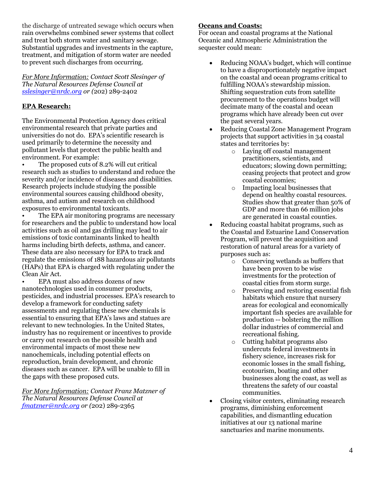the discharge of untreated sewage which occurs when rain overwhelms combined sewer systems that collect and treat both storm water and sanitary sewage. Substantial upgrades and investments in the capture, treatment, and mitigation of storm water are needed to prevent such discharges from occurring.

*For More Information: Contact Scott Slesinger of The Natural Resources Defense Council at [sslesinger@nrdc.org](mailto:sslesinger@nrdc.org) or (*202) 289-2402

# **EPA Research:**

The Environmental Protection Agency does critical environmental research that private parties and universities do not do. EPA's scientific research is used primarily to determine the necessity and pollutant levels that protect the public health and environment. For example:

• The proposed cuts of 8.2% will cut critical research such as studies to understand and reduce the severity and/or incidence of diseases and disabilities. Research projects include studying the possible environmental sources causing childhood obesity, asthma, and autism and research on childhood exposures to environmental toxicants.

The EPA air monitoring programs are necessary for researchers and the public to understand how local activities such as oil and gas drilling may lead to air emissions of toxic contaminants linked to health harms including birth defects, asthma, and cancer. These data are also necessary for EPA to track and regulate the emissions of 188 hazardous air pollutants (HAPs) that EPA is charged with regulating under the Clean Air Act.

• EPA must also address dozens of new nanotechnologies used in consumer products, pesticides, and industrial processes. EPA's research to develop a framework for conducting safety assessments and regulating these new chemicals is essential to ensuring that EPA's laws and statues are relevant to new technologies. In the United States, industry has no requirement or incentives to provide or carry out research on the possible health and environmental impacts of most these new nanochemicals, including potential effects on reproduction, brain development, and chronic diseases such as cancer. EPA will be unable to fill in the gaps with these proposed cuts.

*For More Information: Contact Franz Matzner of The Natural Resources Defense Council at [fmatzner@nrdc.org](mailto:fmatzner@nrdc.org) or (*202) 289-2365

## **Oceans and Coasts:**

For ocean and coastal programs at the National Oceanic and Atmospheric Administration the sequester could mean:

- Reducing NOAA's budget, which will continue to have a disproportionately negative impact on the coastal and ocean programs critical to fulfilling NOAA's stewardship mission. Shifting sequestration cuts from satellite procurement to the operations budget will decimate many of the coastal and ocean programs which have already been cut over the past several years.
- Reducing Coastal Zone Management Program projects that support activities in 34 coastal states and territories by:
	- o Laying off coastal management practitioners, scientists, and educators; slowing down permitting; ceasing projects that protect and grow coastal economies;
	- o Impacting local businesses that depend on healthy coastal resources. Studies show that greater than 50% of GDP and more than 66 million jobs are generated in coastal counties.
- Reducing coastal habitat programs, such as the Coastal and Estuarine Land Conservation Program, will prevent the acquisition and restoration of natural areas for a variety of purposes such as:
	- o Conserving wetlands as buffers that have been proven to be wise investments for the protection of coastal cities from storm surge.
	- o Preserving and restoring essential fish habitats which ensure that nursery areas for ecological and economically important fish species are available for production -- bolstering the million dollar industries of commercial and recreational fishing.
	- o Cutting habitat programs also undercuts federal investments in fishery science, increases risk for economic losses in the small fishing, ecotourism, boating and other businesses along the coast, as well as threatens the safety of our coastal communities.
- Closing visitor centers, eliminating research programs, diminishing enforcement capabilities, and dismantling education initiatives at our 13 national marine sanctuaries and marine monuments.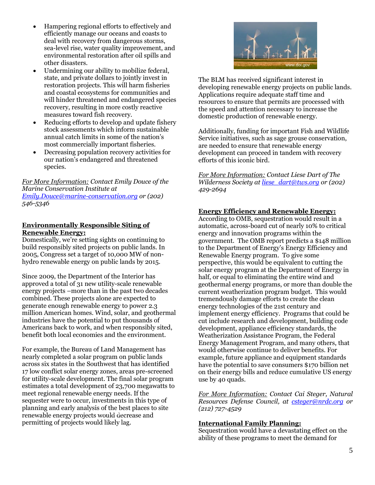- Hampering regional efforts to effectively and efficiently manage our oceans and coasts to deal with recovery from dangerous storms, sea-level rise, water quality improvement, and environmental restoration after oil spills and other disasters.
- Undermining our ability to mobilize federal, state, and private dollars to jointly invest in restoration projects. This will harm fisheries and coastal ecosystems for communities and will hinder threatened and endangered species recovery, resulting in more costly reactive measures toward fish recovery.
- Reducing efforts to develop and update fishery stock assessments which inform sustainable annual catch limits in some of the nation's most commercially important fisheries.
- Decreasing population recovery activities for our nation's endangered and threatened species.

*For More Information: Contact Emily Douce of the Marine Conservation Institute at [Emily.Douce@marine-conservation.org](mailto:Emily.Douce@marine-conservation.org) or (202) 546-5346*

#### **Environmentally Responsible Siting of Renewable Energy:**

Domestically, we're setting sights on continuing to build responsibly sited projects on public lands. In 2005, Congress set a target of 10,000 MW of nonhydro renewable energy on public lands by 2015.

Since 2009, the Department of the Interior has approved a total of 31 new utility-scale renewable energy projects –more than in the past two decades combined. These projects alone are expected to generate enough renewable energy to power 2.3 million American homes. Wind, solar, and geothermal industries have the potential to put thousands of Americans back to work, and when responsibly sited, benefit both local economies and the environment.

For example, the Bureau of Land Management has nearly completed a solar program on public lands across six states in the Southwest that has identified 17 low conflict solar energy zones, areas pre-screened for utility-scale development. The final solar program estimates a total development of 23,700 megawatts to meet regional renewable energy needs. If the sequester were to occur, investments in this type of planning and early analysis of the best places to site renewable energy projects would decrease and permitting of projects would likely lag.



The BLM has received significant interest in developing renewable energy projects on public lands. Applications require adequate staff time and resources to ensure that permits are processed with the speed and attention necessary to increase the domestic production of renewable energy.

Additionally, funding for important Fish and Wildlife Service initiatives, such as sage grouse conservation, are needed to ensure that renewable energy development can proceed in tandem with recovery efforts of this iconic bird.

*For More Information: Contact Liese Dart of The Wilderness Society a[t liese\\_dart@tws.org](mailto:liese_dart@tws.org) or (202) 429-2694*

## **Energy Efficiency and Renewable Energy:**

According to OMB, sequestration would result in a automatic, across-board cut of nearly 10% to critical energy and innovation programs within the government. The OMB report predicts a \$148 million to the Department of Energy's Energy Efficiency and Renewable Energy program. To give some perspective, this would be equivalent to cutting the solar energy program at the Department of Energy in half, or equal to eliminating the entire wind and geothermal energy programs, or more than double the current weatherization program budget. This would tremendously damage efforts to create the clean energy technologies of the 21st century and implement energy efficiency. Programs that could be cut include research and development, building code development, appliance efficiency standards, the Weatherization Assistance Program, the Federal Energy Management Program, and many others, that would otherwise continue to deliver benefits. For example, future appliance and equipment standards have the potential to save consumers \$170 billion net on their energy bills and reduce cumulative US energy use by 40 quads.

*For More Information: Contact Cai Steger, Natural Resources Defense Council, at [csteger@nrdc.org](mailto:csteger@nrdc.org) or (212) 727-4529*

## **International Family Planning:**

Sequestration would have a devastating effect on the ability of these programs to meet the demand for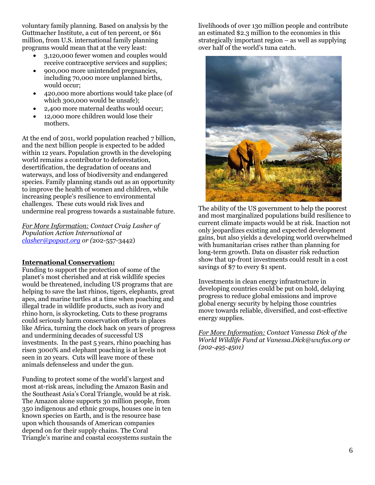voluntary family planning. Based on analysis by the Guttmacher Institute, a cut of ten percent, or \$61 million, from U.S. international family planning programs would mean that at the very least:

- 3,120,000 fewer women and couples would receive contraceptive services and supplies;
- 900,000 more unintended pregnancies, including 70,000 more unplanned births, would occur;
- 420,000 more abortions would take place (of which 300,000 would be unsafe);
- 2,400 more maternal deaths would occur;
- 12,000 more children would lose their mothers.

At the end of 2011, world population reached 7 billion, and the next billion people is expected to be added within 12 years. Population growth in the developing world remains a contributor to deforestation, desertification, the degradation of oceans and waterways, and loss of biodiversity and endangered species. Family planning stands out as an opportunity to improve the health of women and children, while increasing people's resilience to environmental challenges. These cuts would risk lives and undermine real progress towards a sustainable future.

*For More Information: Contact Craig Lasher of Population Action International at [clasher@popact.org](mailto:clasher@popact.org) or (*202-557-3442)

## **International Conservation:**

Funding to support the protection of some of the planet's most cherished and at risk wildlife species would be threatened, including US programs that are helping to save the last rhinos, tigers, elephants, great apes, and marine turtles at a time when poaching and illegal trade in wildlife products, such as ivory and rhino horn, is skyrocketing. Cuts to these programs could seriously harm conservation efforts in places like Africa, turning the clock back on years of progress and undermining decades of successful US investments. In the past 5 years, rhino poaching has risen 3000% and elephant poaching is at levels not seen in 20 years. Cuts will leave more of these animals defenseless and under the gun.

Funding to protect some of the world's largest and most at-risk areas, including the Amazon Basin and the Southeast Asia's Coral Triangle, would be at risk. The Amazon alone supports 30 million people, from 350 indigenous and ethnic groups, houses one in ten known species on Earth, and is the resource base upon which thousands of American companies depend on for their supply chains. The Coral Triangle's marine and coastal ecosystems sustain the livelihoods of over 130 million people and contribute an estimated \$2.3 million to the economies in this strategically important region – as well as supplying over half of the world's tuna catch.



The ability of the US government to help the poorest and most marginalized populations build resilience to current climate impacts would be at risk. Inaction not only jeopardizes existing and expected development gains, but also yields a developing world overwhelmed with humanitarian crises rather than planning for long-term growth. Data on disaster risk reduction show that up-front investments could result in a cost savings of \$7 to every \$1 spent.

Investments in clean energy infrastructure in developing countries could be put on hold, delaying progress to reduce global emissions and improve global energy security by helping those countries move towards reliable, diversified, and cost-effective energy supplies.

*For More Information: Contact Vanessa Dick of the World Wildlife Fund at Vanessa.Dick@wwfus.org or (202-495-4501)*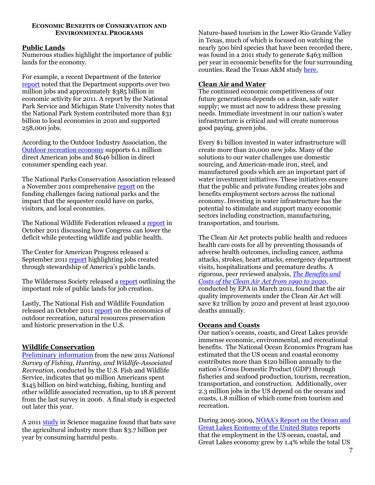#### **ECONOMIC BENEFITS OF CONSERVATION AND ENVIRONMENTAL PROGRAMS**

#### **Public Lands**

Numerous studies highlight the importance of public lands for the economy.

For example, a recent Department of the Interior [report](http://www.doi.gov/americasgreatoutdoors/loader.cfm?csModule=security/getfile&pageid=308931) noted that the Department supports over two million jobs and approximately \$385 billion in economic activity for 2011. A report by the National Park Service and Michigan State University notes that the National Park System contributed more than \$31 billion to local economies in 2010 and supported 258,000 jobs.

According to the Outdoor Industry Association, the [Outdoor recreation economy](http://www.outdoorindustry.org/national-economic-impact-reports.php?action=detail&research_id=167) supports 6.1 million direct American jobs and \$646 billion in direct consumer spending each year.

The National Parks Conservation Association released a November 2011 comprehensiv[e report](http://www.npca.org/news/reports/made-in-america.html) on the funding challenges facing national parks and the impact that the sequester could have on parks, visitors, and local economies.

The National Wildlife Federation released a [report](http://www.nwf.org/News-and-Magazines/Media-Center/News-by-Topic/Wildlife/2011/10-27-11-Congressional-Panel-Can-Cut-Deficit-Protect-Wildlife.aspx) in October 2011 discussing how Congress can lower the deficit while protecting wildlife and public health.

The Center for American Progress released a September 201[1 report](http://www.americanprogress.org/issues/2011/09/public_lands.html) highlighting jobs created through stewardship of America's public lands.

The Wilderness Society released [a report](http://wilderness.org/resource/rural-jobs-and-americas-public-lands) outlining the important role of public lands for job creation.

Lastly, The National Fish and Wildlife Foundation released an October 201[1 report](http://www.nfwf.org/AM/Template.cfm?Section=Who_We_Are&TEMPLATE=/CM/ContentDisplay.cfm&CONTENTID=21773) on the economics of outdoor recreation, natural resources preservation and historic preservation in the U.S.

## **Wildlife Conservation**

[Preliminary information](http://www.doi.gov/news/pressreleases/upload/FWS-National-Preliminary-Report-2011.pdf) from the new 2011 *National Survey of Fishing, Hunting, and Wildlife-Associated Recreation*, conducted by the U.S. Fish and Wildlife Service, indicates that 90 million Americans spent \$145 billion on bird watching, fishing, hunting and other wildlife associated recreation, up to 18.8 percent from the last survey in 2006. A final study is expected out later this year.

A 2011 [study](http://www.sciencemag.org/content/332/6025/41.summary?sid=853248fd-6760-4341-93d0-2aeeab9ea450) in Science magazine found that bats save the agricultural industry more than \$3.7 billion per year by consuming harmful pests.

Nature-based tourism in the Lower Rio Grande Valley in Texas, much of which is focused on watching the nearly 500 bird species that have been recorded there, was found in a 2011 study to generate \$463 million per year in economic benefits for the four surrounding counties. Read the Texas A&M study [here.](http://rpts.tamu.edu/files/2012/05/STNMC-Final-report-4.16.12.pdf)

## **Clean Air and Water**

The continued economic competitiveness of our future generations depends on a clean, safe water supply; we must act now to address these pressing needs. Immediate investment in our nation's water infrastructure is critical and will create numerous good paying, green jobs.

Every \$1 billion invested in water infrastructure will create more than 20,000 new jobs. Many of the solutions to our water challenges use domestic sourcing, and American-made iron, steel, and manufactured goods which are an important part of water investment initiatives. These initiatives ensure that the public and private funding creates jobs and benefits employment sectors across the national economy. Investing in water infrastructure has the potential to stimulate and support many economic sectors including construction, manufacturing, transportation, and tourism.

The Clean Air Act protects public health and reduces health care costs for all by preventing thousands of adverse health outcomes, including cancer, asthma attacks, strokes, heart attacks, emergency department visits, hospitalizations and premature deaths. A rigorous, peer reviewed analysis, *[The Benefits and](http://www.epa.gov/oar/sect812/feb11/fullreport.pdf)  [Costs of the Clean Air Act from 1990 to 2020](http://www.epa.gov/oar/sect812/feb11/fullreport.pdf)*, conducted by EPA in March 2011, found that the air quality improvements under the Clean Air Act will save \$2 trillion by 2020 and prevent at least 230,000 deaths annually.

#### **Oceans and Coasts**

Our nation's oceans, coasts, and Great Lakes provide immense economic, environmental, and recreational benefits. The National Ocean Economics Program has estimated that the US ocean and coastal economy contributes more than \$120 billion annually to the nation's Gross Domestic Product (GDP) through fisheries and seafood production, tourism, recreation, transportation, and construction. Additionally, over 2.3 million jobs in the US depend on the oceans and coasts, 1.8 million of which come from tourism and recreation.

During 2005-2009, [NOAA's Report on the Ocean and](http://www.csc.noaa.gov/digitalcoast/_/pdf/econreport.pdf)  [Great Lakes Economy of the United States](http://www.csc.noaa.gov/digitalcoast/_/pdf/econreport.pdf) reports that the employment in the US ocean, coastal, and Great Lakes economy grew by 1.4% while the total US